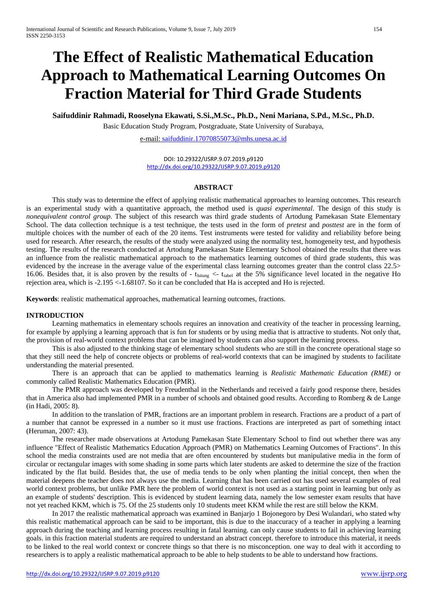# **The Effect of Realistic Mathematical Education Approach to Mathematical Learning Outcomes On Fraction Material for Third Grade Students**

**Saifuddinir Rahmadi, Rooselyna Ekawati, S.Si.,M.Sc., Ph.D., Neni Mariana, S.Pd., M.Sc., Ph.D.**

Basic Education Study Program, Postgraduate, State University of Surabaya,

e-mail: [saifuddinir.17070855073@mhs.unesa.ac.id](mailto:saifuddinir.17070855073@mhs.unesa.ac.id)

DOI: 10.29322/IJSRP.9.07.2019.p9120 <http://dx.doi.org/10.29322/IJSRP.9.07.2019.p9120>

# **ABSTRACT**

This study was to determine the effect of applying realistic mathematical approaches to learning outcomes. This research is an experimental study with a quantitative approach, the method used is *quasi experimental*. The design of this study is *nonequivalent control group*. The subject of this research was third grade students of Artodung Pamekasan State Elementary School. The data collection technique is a test technique, the tests used in the form of *pretest* and *posttest* are in the form of multiple choices with the number of each of the 20 items. Test instruments were tested for validity and reliability before being used for research. After research, the results of the study were analyzed using the normality test, homogeneity test, and hypothesis testing. The results of the research conducted at Artodung Pamekasan State Elementary School obtained the results that there was an influence from the realistic mathematical approach to the mathematics learning outcomes of third grade students, this was evidenced by the increase in the average value of the experimental class learning outcomes greater than the control class 22.5> 16.06. Besides that, it is also proven by the results of - thitung <- tabel at the 5% significance level located in the negative Ho rejection area, which is -2.195 <-1.68107. So it can be concluded that Ha is accepted and Ho is rejected.

**Keywords**: realistic mathematical approaches, mathematical learning outcomes, fractions.

# **INTRODUCTION**

Learning mathematics in elementary schools requires an innovation and creativity of the teacher in processing learning, for example by applying a learning approach that is fun for students or by using media that is attractive to students. Not only that, the provision of real-world context problems that can be imagined by students can also support the learning process.

This is also adjusted to the thinking stage of elementary school students who are still in the concrete operational stage so that they still need the help of concrete objects or problems of real-world contexts that can be imagined by students to facilitate understanding the material presented.

There is an approach that can be applied to mathematics learning is *Realistic Mathematic Education (RME)* or commonly called Realistic Mathematics Education (PMR).

The PMR approach was developed by Freudenthal in the Netherlands and received a fairly good response there, besides that in America also had implemented PMR in a number of schools and obtained good results. According to Romberg & de Lange (in Hadi, 2005: 8).

In addition to the translation of PMR, fractions are an important problem in research. Fractions are a product of a part of a number that cannot be expressed in a number so it must use fractions. Fractions are interpreted as part of something intact (Heruman, 2007: 43).

The researcher made observations at Artodung Pamekasan State Elementary School to find out whether there was any influence "Effect of Realistic Mathematics Education Approach (PMR) on Mathematics Learning Outcomes of Fractions". In this school the media constraints used are not media that are often encountered by students but manipulative media in the form of circular or rectangular images with some shading in some parts which later students are asked to determine the size of the fraction indicated by the flat build. Besides that, the use of media tends to be only when planting the initial concept, then when the material deepens the teacher does not always use the media. Learning that has been carried out has used several examples of real world context problems, but unlike PMR here the problem of world context is not used as a starting point in learning but only as an example of students' description. This is evidenced by student learning data, namely the low semester exam results that have not yet reached KKM, which is 75. Of the 25 students only 10 students meet KKM while the rest are still below the KKM.

In 2017 the realistic mathematical approach was examined in Banjarjo 1 Bojonegoro by Desi Wulandari, who stated why this realistic mathematical approach can be said to be important, this is due to the inaccuracy of a teacher in applying a learning approach during the teaching and learning process resulting in fatal learning. can only cause students to fail in achieving learning goals. in this fraction material students are required to understand an abstract concept. therefore to introduce this material, it needs to be linked to the real world context or concrete things so that there is no misconception. one way to deal with it according to researchers is to apply a realistic mathematical approach to be able to help students to be able to understand how fractions.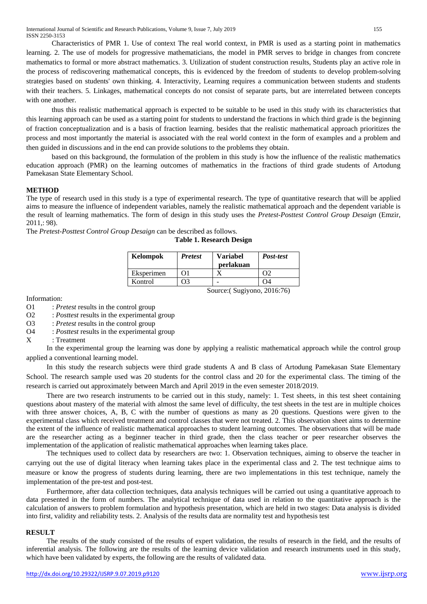Characteristics of PMR 1. Use of context The real world context, in PMR is used as a starting point in mathematics learning. 2. The use of models for progressive mathematicians, the model in PMR serves to bridge in changes from concrete mathematics to formal or more abstract mathematics. 3. Utilization of student construction results, Students play an active role in the process of rediscovering mathematical concepts, this is evidenced by the freedom of students to develop problem-solving strategies based on students' own thinking. 4. Interactivity, Learning requires a communication between students and students with their teachers. 5. Linkages, mathematical concepts do not consist of separate parts, but are interrelated between concepts with one another.

thus this realistic mathematical approach is expected to be suitable to be used in this study with its characteristics that this learning approach can be used as a starting point for students to understand the fractions in which third grade is the beginning of fraction conceptualization and is a basis of fraction learning. besides that the realistic mathematical approach prioritizes the process and most importantly the material is associated with the real world context in the form of examples and a problem and then guided in discussions and in the end can provide solutions to the problems they obtain.

based on this background, the formulation of the problem in this study is how the influence of the realistic mathematics education approach (PMR) on the learning outcomes of mathematics in the fractions of third grade students of Artodung Pamekasan State Elementary School.

# **METHOD**

The type of research used in this study is a type of experimental research. The type of quantitative research that will be applied aims to measure the influence of independent variables, namely the realistic mathematical approach and the dependent variable is the result of learning mathematics. The form of design in this study uses the *Pretest-Posttest Control Group Desaign* (Emzir, 2011,: 98).

**Table 1. Research Design**

The *Pretest-Posttest Control Group Desaign* can be described as follows.

| Kelompok   | <b>Pretest</b>              | Variabel<br>perlakuan | Post-test |
|------------|-----------------------------|-----------------------|-----------|
| Eksperimen | 01                          |                       |           |
| Kontrol    |                             |                       | . )4      |
|            | Source: (Sugiyono, 2016:76) |                       |           |

# Information:

- O1 : *Pretest* results in the control group
- O2 : *Posttest* results in the experimental group
- O3 : *Pretest* results in the control group
- O4 : *Posttest* results in the experimental group
- X : Treatment

In the experimental group the learning was done by applying a realistic mathematical approach while the control group applied a conventional learning model.

In this study the research subjects were third grade students A and B class of Artodung Pamekasan State Elementary School. The research sample used was 20 students for the control class and 20 for the experimental class. The timing of the research is carried out approximately between March and April 2019 in the even semester 2018/2019.

There are two research instruments to be carried out in this study, namely: 1. Test sheets, in this test sheet containing questions about mastery of the material with almost the same level of difficulty, the test sheets in the test are in multiple choices with three answer choices, A, B, C with the number of questions as many as 20 questions. Questions were given to the experimental class which received treatment and control classes that were not treated. 2. This observation sheet aims to determine the extent of the influence of realistic mathematical approaches to student learning outcomes. The observations that will be made are the researcher acting as a beginner teacher in third grade, then the class teacher or peer researcher observes the implementation of the application of realistic mathematical approaches when learning takes place.

The techniques used to collect data by researchers are two: 1. Observation techniques, aiming to observe the teacher in carrying out the use of digital literacy when learning takes place in the experimental class and 2. The test technique aims to measure or know the progress of students during learning, there are two implementations in this test technique, namely the implementation of the pre-test and post-test.

Furthermore, after data collection techniques, data analysis techniques will be carried out using a quantitative approach to data presented in the form of numbers. The analytical technique of data used in relation to the quantitative approach is the calculation of answers to problem formulation and hypothesis presentation, which are held in two stages: Data analysis is divided into first, validity and reliability tests. 2. Analysis of the results data are normality test and hypothesis test

# **RESULT**

The results of the study consisted of the results of expert validation, the results of research in the field, and the results of inferential analysis. The following are the results of the learning device validation and research instruments used in this study, which have been validated by experts, the following are the results of validated data.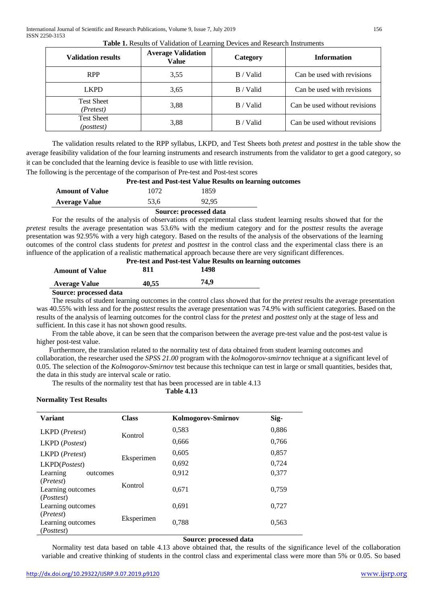| <b>Validation results</b>                | <b>Average Validation</b><br>Value | Category    | <b>Information</b>            |
|------------------------------------------|------------------------------------|-------------|-------------------------------|
| <b>RPP</b>                               | 3.55                               | B / Valid   | Can be used with revisions    |
| <b>LKPD</b>                              | 3.65                               | $B /$ Valid | Can be used with revisions    |
| <b>Test Sheet</b><br>(Pretest)           | 3,88                               | B / Valid   | Can be used without revisions |
| <b>Test Sheet</b><br>( <i>posttest</i> ) | 3,88                               | B / Valid   | Can be used without revisions |

The validation results related to the RPP syllabus, LKPD, and Test Sheets both *pretest* and *posttest* in the table show the average feasibility validation of the four learning instruments and research instruments from the validator to get a good category, so it can be concluded that the learning device is feasible to use with little revision.

The following is the percentage of the comparison of Pre-test and Post-test scores

## **Pre-test and Post-test Value Results on learning outcomes**

|                        | Source: processed data |       |  |
|------------------------|------------------------|-------|--|
| <b>Average Value</b>   | 53.6                   | 92.95 |  |
| <b>Amount of Value</b> | 1072                   | 1859  |  |

For the results of the analysis of observations of experimental class student learning results showed that for the *pretest* results the average presentation was 53.6% with the medium category and for the *posttest* results the average presentation was 92.95% with a very high category. Based on the results of the analysis of the observations of the learning outcomes of the control class students for *pretest* and *posttest* in the control class and the experimental class there is an influence of the application of a realistic mathematical approach because there are very significant differences.

|                        |       | <b>Pre-test and Post-test Value Results on learning outcomes</b> |  |
|------------------------|-------|------------------------------------------------------------------|--|
| <b>Amount of Value</b> | 811   | 1498                                                             |  |
| <b>Average Value</b>   | 40.55 | 74.9                                                             |  |

**Source: processed data**

The results of student learning outcomes in the control class showed that for the *pretest* results the average presentation was 40.55% with less and for the *posttest* results the average presentation was 74.9% with sufficient categories. Based on the results of the analysis of learning outcomes for the control class for the *pretest* and *posttest* only at the stage of less and sufficient. In this case it has not shown good results.

From the table above, it can be seen that the comparison between the average pre-test value and the post-test value is higher post-test value.

 Furthermore, the translation related to the normality test of data obtained from student learning outcomes and collaboration, the researcher used the *SPSS 21.00* program with the *kolmogorov-smirnov* technique at a significant level of 0.05. The selection of the *Kolmogorov-Smirnov* test because this technique can test in large or small quantities, besides that, the data in this study are interval scale or ratio.

The results of the normality test that has been processed are in table 4.13

**Table 4.13**

# **Normality Test Results**

| <b>Variant</b>                                                 | <b>Class</b> | Kolmogorov-Smirnov | Sig-  |
|----------------------------------------------------------------|--------------|--------------------|-------|
| LKPD ( <i>Pretest</i> )                                        | Kontrol      | 0,583              | 0,886 |
| LKPD (Postest)                                                 |              | 0,666              | 0,766 |
| LKPD (Pretest)                                                 |              | 0,605              | 0,857 |
| LKPD(Postest)                                                  | Eksperimen   | 0,692              | 0,724 |
| Learning<br>outcomes                                           |              | 0,912              | 0,377 |
| ( <i>Pretest</i> )<br>Learning outcomes<br>( <i>Posttest</i> ) | Kontrol      | 0,671              | 0,759 |
| Learning outcomes                                              |              | 0,691              | 0,727 |
| ( <i>Pretest</i> )<br>Learning outcomes<br>( <i>Posttest</i> ) | Eksperimen   | 0.788              | 0,563 |

# **Source: processed data**

Normality test data based on table 4.13 above obtained that, the results of the significance level of the collaboration variable and creative thinking of students in the control class and experimental class were more than 5% or 0.05. So based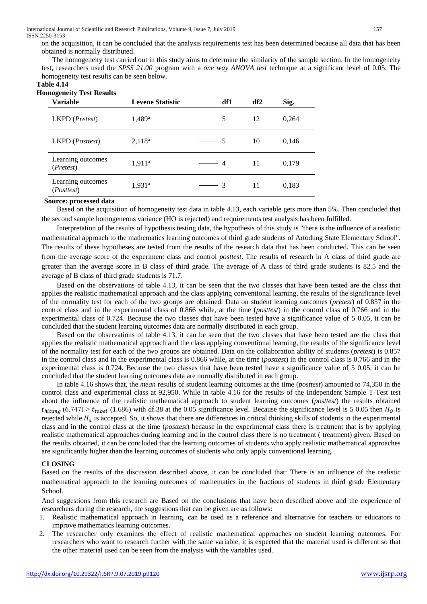on the acquisition, it can be concluded that the analysis requirements test has been determined because all data that has been obtained is normally distributed.

The homogeneity test carried out in this study aims to determine the similarity of the sample section. In the homogeneity test, researchers used the *SPSS 21.00* program with a *one way ANOVA test* technique at a significant level of 0.05. The homogeneity test results can be seen below.

#### **Table 4.14**

| <b>Homogeneity Test Results</b> |  |  |
|---------------------------------|--|--|
|---------------------------------|--|--|

| ັ<br><b>Variable</b>                     | <b>Levene Statistic</b> | df1 | df2 | Sig.  |
|------------------------------------------|-------------------------|-----|-----|-------|
| LKPD (Pretest)                           | $1,489$ <sup>a</sup>    | -5  | 12  | 0,264 |
| LKPD ( <i>Posttest</i> )                 | $2,118^a$               | - 5 | 10  | 0,146 |
| Learning outcomes<br>( <i>Pretest</i> )  | $1,911^a$               | 4   | 11  | 0,179 |
| Learning outcomes<br>( <i>Posttest</i> ) | $1,931^a$               | -3  | 11  | 0,183 |

### **Source: processed data**

Based on the acquisition of homogeneity test data in table 4.13, each variable gets more than 5%. Then concluded that the second sample homogeneous variance (HO is rejected) and requirements test analysis has been fulfilled.

Interpretation of the results of hypothesis testing data, the hypothesis of this study is "there is the influence of a realistic mathematical approach to the mathematics learning outcomes of third grade students of Artodung State Elementary School". The results of these hypotheses are tested from the results of the research data that has been conducted. This can be seen from the average score of the experiment class and control *posttest*. The results of research in A class of third grade are greater than the average score in B class of third grade. The average of A class of third grade students is 82.5 and the average of B class of third grade students is 71.7.

Based on the observations of table 4.13, it can be seen that the two classes that have been tested are the class that applies the realistic mathematical approach and the class applying conventional learning, the results of the significance level of the normality test for each of the two groups are obtained. Data on student learning outcomes (*pretest*) of 0.857 in the control class and in the experimental class of 0.866 while, at the time (*posttest*) in the control class of 0.766 and in the experimental class of 0.724. Because the two classes that have been tested have a significance value of 5 0.05, it can be concluded that the student learning outcomes data are normally distributed in each group.

Based on the observations of table 4.13, it can be seen that the two classes that have been tested are the class that applies the realistic mathematical approach and the class applying conventional learning, the results of the significance level of the normality test for each of the two groups are obtained. Data on the collaboration ability of students (*pretest*) is 0.857 in the control class and in the experimental class is 0.866 while, at the time (*posttest*) in the control class is 0.766 and in the experimental class is 0.724. Because the two classes that have been tested have a significance value of 5 0.05, it can be concluded that the student learning outcomes data are normally distributed in each group.

In table 4.16 shows that, the *mean* results of student learning outcomes at the time (*posttest*) amounted to 74,350 in the control class and experimental class at 92,950. While in table 4.16 for the results of the Independent Sample T-Test test about the influence of the realistic mathematical approach to student learning outcomes (*posttest*) the results obtained  $t_{hitung}$  (6.747) >  $t_{table}$  (1.686) with df.38 at the 0.05 significance level. Because the significance level is 5 0.05 then  $H_0$  is rejected while  $H<sub>a</sub>$  is accepted. So, it shows that there are differences in critical thinking skills of students in the experimental class and in the control class at the time (*posttest*) because in the experimental class there is treatment that is by applying realistic mathematical approaches during learning and in the control class there is no treatment ( treatment) given. Based on the results obtained, it can be concluded that the learning outcomes of students who apply realistic mathematical approaches are significantly higher than the learning outcomes of students who only apply conventional learning.

### **CLOSING**

Based on the results of the discussion described above, it can be concluded that: There is an influence of the realistic mathematical approach to the learning outcomes of mathematics in the fractions of students in third grade Elementary School.

And suggestions from this research are Based on the conclusions that have been described above and the experience of researchers during the research, the suggestions that can be given are as follows:

- 1. Realistic mathematical approach in learning, can be used as a reference and alternative for teachers or educators to improve mathematics learning outcomes.
- 2. The researcher only examines the effect of realistic mathematical approaches on student learning outcomes. For researchers who want to research further with the same variable, it is expected that the material used is different so that the other material used can be seen from the analysis with the variables used.